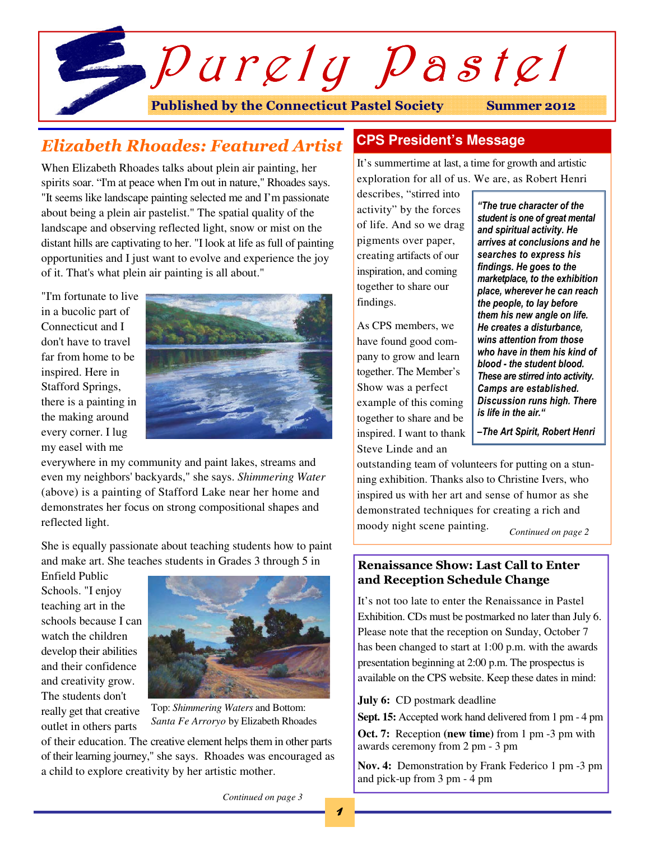

# Elizabeth Rhoades: Featured Artist

When Elizabeth Rhoades talks about plein air painting, her spirits soar. "I'm at peace when I'm out in nature," Rhoades says. "It seems like landscape painting selected me and I'm passionate about being a plein air pastelist." The spatial quality of the landscape and observing reflected light, snow or mist on the distant hills are captivating to her. "I look at life as full of painting opportunities and I just want to evolve and experience the joy of it. That's what plein air painting is all about."

"I'm fortunate to live in a bucolic part of Connecticut and I don't have to travel far from home to be inspired. Here in Stafford Springs, there is a painting in the making around every corner. I lug my easel with me



everywhere in my community and paint lakes, streams and even my neighbors' backyards," she says. *Shimmering Water* (above) is a painting of Stafford Lake near her home and demonstrates her focus on strong compositional shapes and reflected light.

She is equally passionate about teaching students how to paint and make art. She teaches students in Grades 3 through 5 in

Enfield Public Schools. "I enjoy teaching art in the schools because I can watch the children develop their abilities and their confidence and creativity grow. The students don't really get that creative outlet in others parts



Top: *Shimmering Waters* and Bottom: *Santa Fe Arroryo* by Elizabeth Rhoades

of their education. The creative element helps them in other parts of their learning journey," she says. Rhoades was encouraged as a child to explore creativity by her artistic mother.

## **CPS President's Message**

It's summertime at last, a time for growth and artistic exploration for all of us. We are, as Robert Henri

describes, "stirred into activity" by the forces of life. And so we drag pigments over paper, creating artifacts of our inspiration, and coming together to share our findings.

As CPS members, we have found good company to grow and learn together. The Member's Show was a perfect example of this coming together to share and be inspired. I want to thank Steve Linde and an

"The true character of the student is one of great mental and spiritual activity. He arrives at conclusions and he searches to express his findings. He goes to the marketplace, to the exhibition place, wherever he can reach the people, to lay before them his new angle on life. He creates a disturbance, wins attention from those who have in them his kind of blood - the student blood. These are stirred into activity. Camps are established. Discussion runs high. There is life in the air."

–The Art Spirit, Robert Henri

outstanding team of volunteers for putting on a stunning exhibition. Thanks also to Christine Ivers, who inspired us with her art and sense of humor as she demonstrated techniques for creating a rich and moody night scene painting. *Continued on page 2* 

## Renaissance Show: Last Call to Enter and Reception Schedule Change

It's not too late to enter the Renaissance in Pastel Exhibition. CDs must be postmarked no later than July 6. Please note that the reception on Sunday, October 7 has been changed to start at 1:00 p.m. with the awards presentation beginning at 2:00 p.m. The prospectus is available on the CPS website. Keep these dates in mind:

**July 6:** CD postmark deadline

**Sept. 15:** Accepted work hand delivered from 1 pm - 4 pm

**Oct. 7:** Reception **(new time)** from 1 pm -3 pm with awards ceremony from 2 pm - 3 pm

**Nov. 4:** Demonstration by Frank Federico 1 pm -3 pm and pick-up from 3 pm - 4 pm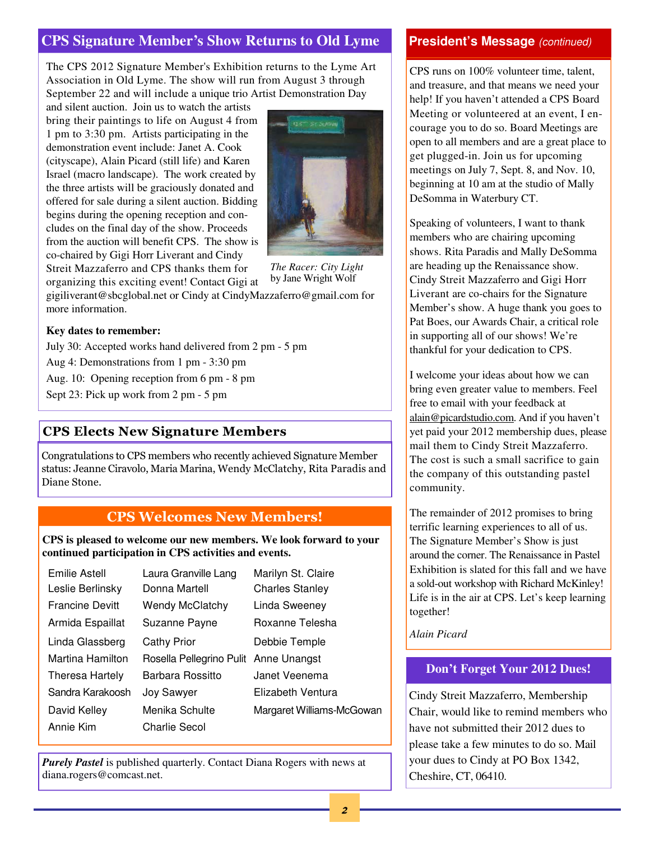## **CPS Signature Member's Show Returns to Old Lyme**

The CPS 2012 Signature Member's Exhibition returns to the Lyme Art Association in Old Lyme. The show will run from August 3 through September 22 and will include a unique trio Artist Demonstration Day

and silent auction. Join us to watch the artists bring their paintings to life on August 4 from 1 pm to 3:30 pm. Artists participating in the demonstration event include: Janet A. Cook (cityscape), Alain Picard (still life) and Karen Israel (macro landscape). The work created by the three artists will be graciously donated and offered for sale during a silent auction. Bidding begins during the opening reception and concludes on the final day of the show. Proceeds from the auction will benefit CPS. The show is co-chaired by Gigi Horr Liverant and Cindy Streit Mazzaferro and CPS thanks them for

organizing this exciting event! Contact Gigi at



*The Racer: City Light*  by Jane Wright Wolf

gigiliverant@sbcglobal.net or Cindy at CindyMazzaferro@gmail.com for more information.

### **Key dates to remember:**

July 30: Accepted works hand delivered from 2 pm - 5 pm

Aug 4: Demonstrations from 1 pm - 3:30 pm

Aug. 10: Opening reception from 6 pm - 8 pm

Sept 23: Pick up work from 2 pm - 5 pm

## CPS Elects New Signature Members

Congratulations to CPS members who recently achieved Signature Member status: Jeanne Ciravolo, Maria Marina, Wendy McClatchy, Rita Paradis and Diane Stone.

## CPS Welcomes New Members!

**CPS is pleased to welcome our new members. We look forward to your continued participation in CPS activities and events.** 

| Emilie Astell          | Laura Granville Lang     | Marilyn St. Claire        |
|------------------------|--------------------------|---------------------------|
| Leslie Berlinsky       | Donna Martell            | <b>Charles Stanley</b>    |
| <b>Francine Devitt</b> | <b>Wendy McClatchy</b>   | Linda Sweeney             |
| Armida Espaillat       | Suzanne Payne            | Roxanne Telesha           |
| Linda Glassberg        | Cathy Prior              | Debbie Temple             |
| Martina Hamilton       | Rosella Pellegrino Pulit | Anne Unangst              |
| Theresa Hartely        | Barbara Rossitto         | Janet Veenema             |
| Sandra Karakoosh       | <b>Joy Sawyer</b>        | Elizabeth Ventura         |
| David Kelley           | Menika Schulte           | Margaret Williams-McGowan |
| Annie Kim              | Charlie Secol            |                           |

*Purely Pastel* is published quarterly. Contact Diana Rogers with news at diana.rogers@comcast.net.

## **President's Message** (continued)

CPS runs on 100% volunteer time, talent, and treasure, and that means we need your help! If you haven't attended a CPS Board Meeting or volunteered at an event, I encourage you to do so. Board Meetings are open to all members and are a great place to get plugged-in. Join us for upcoming meetings on July 7, Sept. 8, and Nov. 10, beginning at 10 am at the studio of Mally DeSomma in Waterbury CT.

Speaking of volunteers, I want to thank members who are chairing upcoming shows. Rita Paradis and Mally DeSomma are heading up the Renaissance show. Cindy Streit Mazzaferro and Gigi Horr Liverant are co-chairs for the Signature Member's show. A huge thank you goes to Pat Boes, our Awards Chair, a critical role in supporting all of our shows! We're thankful for your dedication to CPS.

I welcome your ideas about how we can bring even greater value to members. Feel free to email with your feedback at alain@picardstudio.com. And if you haven't yet paid your 2012 membership dues, please mail them to Cindy Streit Mazzaferro. The cost is such a small sacrifice to gain the company of this outstanding pastel community.

The remainder of 2012 promises to bring terrific learning experiences to all of us. The Signature Member's Show is just around the corner. The Renaissance in Pastel Exhibition is slated for this fall and we have a sold-out workshop with Richard McKinley! Life is in the air at CPS. Let's keep learning together!

#### *Alain Picard*

#### **Don't Forget Your 2012 Dues!**

Cindy Streit Mazzaferro, Membership Chair, would like to remind members who have not submitted their 2012 dues to please take a few minutes to do so. Mail your dues to Cindy at PO Box 1342, Cheshire, CT, 06410.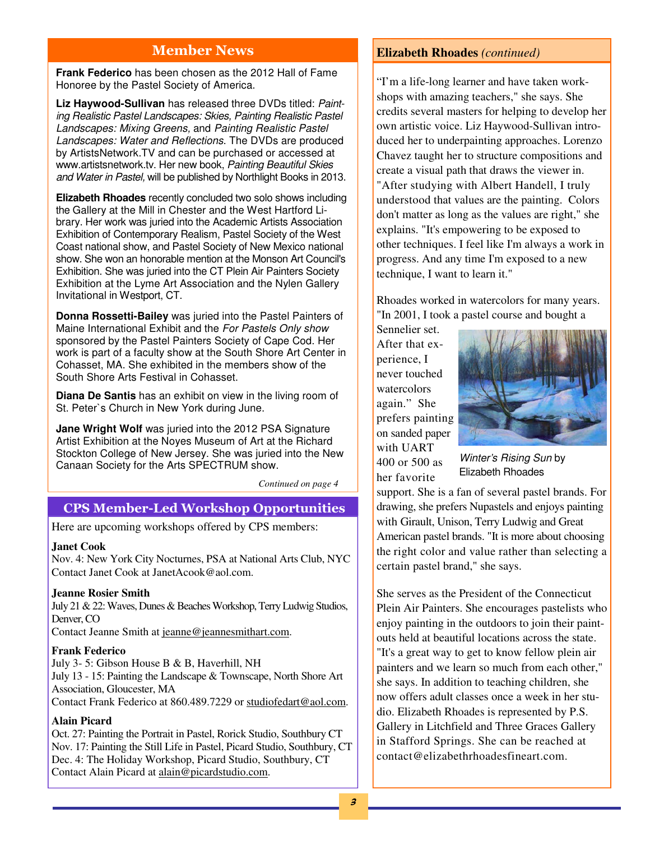## Member News

**Frank Federico** has been chosen as the 2012 Hall of Fame Honoree by the Pastel Society of America.

**Liz Haywood-Sullivan** has released three DVDs titled: Painting Realistic Pastel Landscapes: Skies, Painting Realistic Pastel Landscapes: Mixing Greens, and Painting Realistic Pastel Landscapes: Water and Reflections. The DVDs are produced by ArtistsNetwork.TV and can be purchased or accessed at www.artistsnetwork.tv. Her new book, Painting Beautiful Skies and Water in Pastel, will be published by Northlight Books in 2013.

**Elizabeth Rhoades** recently concluded two solo shows including the Gallery at the Mill in Chester and the West Hartford Library. Her work was juried into the Academic Artists Association Exhibition of Contemporary Realism, Pastel Society of the West Coast national show, and Pastel Society of New Mexico national show. She won an honorable mention at the Monson Art Council's Exhibition. She was juried into the CT Plein Air Painters Society Exhibition at the Lyme Art Association and the Nylen Gallery Invitational in Westport, CT.

**Donna Rossetti-Bailey** was juried into the Pastel Painters of Maine International Exhibit and the For Pastels Only show sponsored by the Pastel Painters Society of Cape Cod. Her work is part of a faculty show at the South Shore Art Center in Cohasset, MA. She exhibited in the members show of the South Shore Arts Festival in Cohasset.

**Diana De Santis** has an exhibit on view in the living room of St. Peter`s Church in New York during June.

**Jane Wright Wolf** was juried into the 2012 PSA Signature Artist Exhibition at the Noyes Museum of Art at the Richard Stockton College of New Jersey. She was juried into the New Canaan Society for the Arts SPECTRUM show.

*Continued on page 4* 

## CPS Member-Led Workshop Opportunities

Here are upcoming workshops offered by CPS members:

#### **Janet Cook**

Nov. 4: New York City Nocturnes, PSA at National Arts Club, NYC Contact Janet Cook at JanetAcook@aol.com.

#### **Jeanne Rosier Smith**

July 21 & 22: Waves, Dunes & Beaches Workshop, Terry Ludwig Studios, Denver, CO

Contact Jeanne Smith at jeanne@jeannesmithart.com.

#### **Frank Federico**

July 3- 5: Gibson House B & B, Haverhill, NH July 13 - 15: Painting the Landscape & Townscape, North Shore Art Association, Gloucester, MA Contact Frank Federico at 860.489.7229 or studiofedart@aol.com.

#### **Alain Picard**

Oct. 27: Painting the Portrait in Pastel, Rorick Studio, Southbury CT Nov. 17: Painting the Still Life in Pastel, Picard Studio, Southbury, CT Dec. 4: The Holiday Workshop, Picard Studio, Southbury, CT Contact Alain Picard at alain@picardstudio.com.

## **Elizabeth Rhoades** *(continued)*

"I'm a life-long learner and have taken workshops with amazing teachers," she says. She credits several masters for helping to develop her own artistic voice. Liz Haywood-Sullivan introduced her to underpainting approaches. Lorenzo Chavez taught her to structure compositions and create a visual path that draws the viewer in. "After studying with Albert Handell, I truly understood that values are the painting. Colors don't matter as long as the values are right," she explains. "It's empowering to be exposed to other techniques. I feel like I'm always a work in progress. And any time I'm exposed to a new technique, I want to learn it."

Rhoades worked in watercolors for many years. "In 2001, I took a pastel course and bought a

Sennelier set. After that experience, I never touched watercolors again." She prefers painting on sanded paper with UART 400 or 500 as her favorite



Winter's Rising Sun by Elizabeth Rhoades

support. She is a fan of several pastel brands. For drawing, she prefers Nupastels and enjoys painting with Girault, Unison, Terry Ludwig and Great American pastel brands. "It is more about choosing the right color and value rather than selecting a certain pastel brand," she says.

She serves as the President of the Connecticut Plein Air Painters. She encourages pastelists who enjoy painting in the outdoors to join their paintouts held at beautiful locations across the state. "It's a great way to get to know fellow plein air painters and we learn so much from each other," she says. In addition to teaching children, she now offers adult classes once a week in her studio. Elizabeth Rhoades is represented by P.S. Gallery in Litchfield and Three Graces Gallery in Stafford Springs. She can be reached at contact@elizabethrhoadesfineart.com.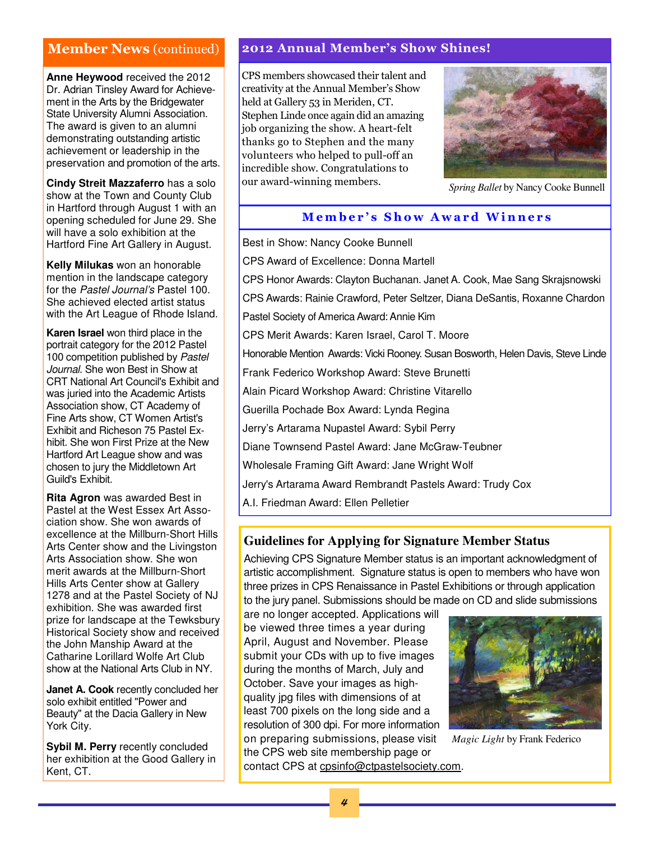**Anne Heywood** received the 2012 Dr. Adrian Tinsley Award for Achievement in the Arts by the Bridgewater State University Alumni Association. The award is given to an alumni demonstrating outstanding artistic achievement or leadership in the preservation and promotion of the arts.

**Cindy Streit Mazzaferro** has a solo show at the Town and County Club in Hartford through August 1 with an opening scheduled for June 29. She will have a solo exhibition at the Hartford Fine Art Gallery in August.

**Kelly Milukas** won an honorable mention in the landscape category for the Pastel Journal's Pastel 100. She achieved elected artist status with the Art League of Rhode Island.

**Karen Israel** won third place in the portrait category for the 2012 Pastel 100 competition published by Pastel Journal. She won Best in Show at CRT National Art Council's Exhibit and was juried into the Academic Artists Association show, CT Academy of Fine Arts show, CT Women Artist's Exhibit and Richeson 75 Pastel Exhibit. She won First Prize at the New Hartford Art League show and was chosen to jury the Middletown Art Guild's Exhibit.

**Rita Agron** was awarded Best in Pastel at the West Essex Art Association show. She won awards of excellence at the Millburn-Short Hills Arts Center show and the Livingston Arts Association show. She won merit awards at the Millburn-Short Hills Arts Center show at Gallery 1278 and at the Pastel Society of NJ exhibition. She was awarded first prize for landscape at the Tewksbury Historical Society show and received the John Manship Award at the Catharine Lorillard Wolfe Art Club show at the National Arts Club in NY.

**Janet A. Cook** recently concluded her solo exhibit entitled "Power and Beauty" at the Dacia Gallery in New York City.

**Sybil M. Perry** recently concluded her exhibition at the Good Gallery in Kent, CT.

## Member News (continued) 2012 Annual Member's Show Shines!

CPS members showcased their talent and creativity at the Annual Member's Show held at Gallery 53 in Meriden, CT. Stephen Linde once again did an amazing job organizing the show. A heart-felt thanks go to Stephen and the many volunteers who helped to pull-off an incredible show. Congratulations to our award-winning members.



*Spring Ballet* by Nancy Cooke Bunnell

## Member's Show Award Winners

Best in Show: Nancy Cooke Bunnell CPS Award of Excellence: Donna Martell CPS Honor Awards: Clayton Buchanan. Janet A. Cook, Mae Sang Skrajsnowski CPS Awards: Rainie Crawford, Peter Seltzer, Diana DeSantis, Roxanne Chardon Pastel Society of America Award: Annie Kim CPS Merit Awards: Karen Israel, Carol T. Moore Honorable Mention Awards: Vicki Rooney. Susan Bosworth, Helen Davis, Steve Linde Frank Federico Workshop Award: Steve Brunetti Alain Picard Workshop Award: Christine Vitarello Guerilla Pochade Box Award: Lynda Regina Jerry's Artarama Nupastel Award: Sybil Perry Diane Townsend Pastel Award: Jane McGraw-Teubner Wholesale Framing Gift Award: Jane Wright Wolf Jerry's Artarama Award Rembrandt Pastels Award: Trudy Cox A.I. Friedman Award: Ellen Pelletier

## **Guidelines for Applying for Signature Member Status**

Achieving CPS Signature Member status is an important acknowledgment of artistic accomplishment. Signature status is open to members who have won three prizes in CPS Renaissance in Pastel Exhibitions or through application to the jury panel. Submissions should be made on CD and slide submissions

are no longer accepted. Applications will be viewed three times a year during April, August and November. Please submit your CDs with up to five images during the months of March, July and October. Save your images as highquality jpg files with dimensions of at least 700 pixels on the long side and a resolution of 300 dpi. For more information on preparing submissions, please visit the CPS web site membership page or contact CPS at cpsinfo@ctpastelsociety.com.



*Magic Light* by Frank Federico